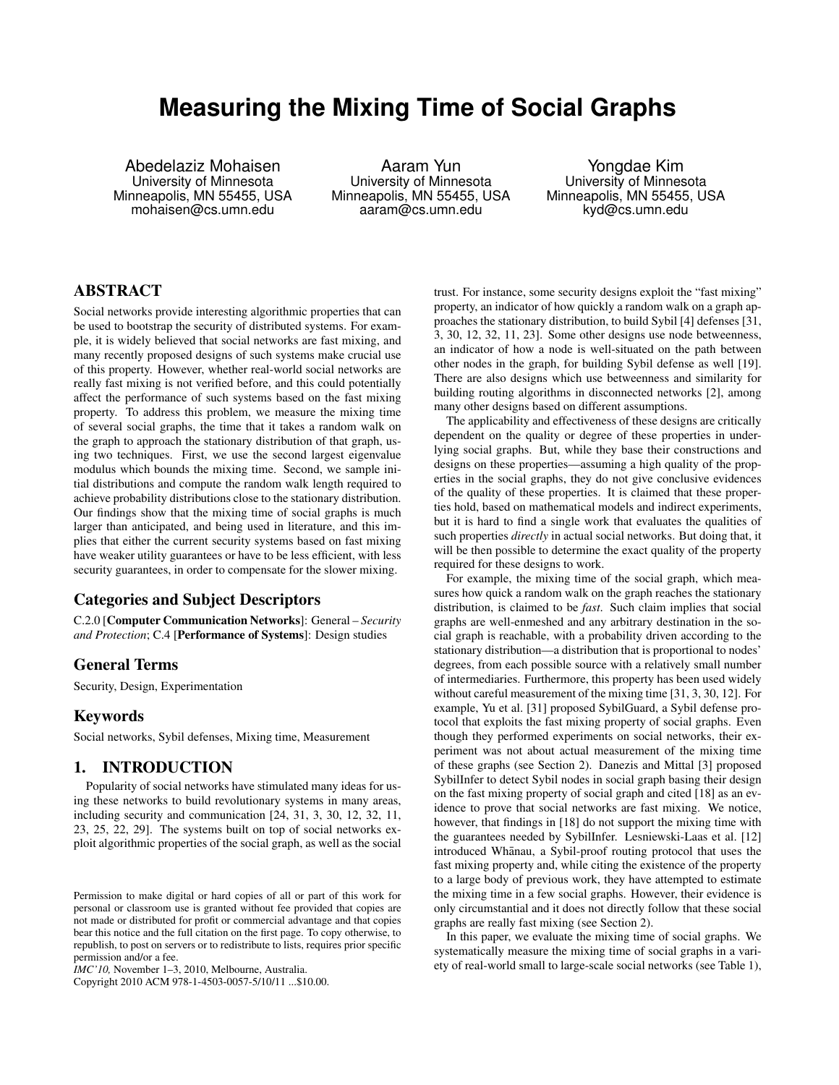# **Measuring the Mixing Time of Social Graphs**

Abedelaziz Mohaisen University of Minnesota Minneapolis, MN 55455, USA mohaisen@cs.umn.edu

Aaram Yun University of Minnesota Minneapolis, MN 55455, USA aaram@cs.umn.edu

Yongdae Kim University of Minnesota Minneapolis, MN 55455, USA kyd@cs.umn.edu

## ABSTRACT

Social networks provide interesting algorithmic properties that can be used to bootstrap the security of distributed systems. For example, it is widely believed that social networks are fast mixing, and many recently proposed designs of such systems make crucial use of this property. However, whether real-world social networks are really fast mixing is not verified before, and this could potentially affect the performance of such systems based on the fast mixing property. To address this problem, we measure the mixing time of several social graphs, the time that it takes a random walk on the graph to approach the stationary distribution of that graph, using two techniques. First, we use the second largest eigenvalue modulus which bounds the mixing time. Second, we sample initial distributions and compute the random walk length required to achieve probability distributions close to the stationary distribution. Our findings show that the mixing time of social graphs is much larger than anticipated, and being used in literature, and this implies that either the current security systems based on fast mixing have weaker utility guarantees or have to be less efficient, with less security guarantees, in order to compensate for the slower mixing.

## Categories and Subject Descriptors

C.2.0 [Computer Communication Networks]: General – *Security and Protection*; C.4 [Performance of Systems]: Design studies

## General Terms

Security, Design, Experimentation

#### Keywords

Social networks, Sybil defenses, Mixing time, Measurement

## 1. INTRODUCTION

Popularity of social networks have stimulated many ideas for using these networks to build revolutionary systems in many areas, including security and communication [\[24,](#page-6-0) [31,](#page-6-1) [3,](#page-6-2) [30,](#page-6-3) [12,](#page-6-4) [32,](#page-6-5) [11,](#page-6-6) [23,](#page-6-7) [25,](#page-6-8) [22,](#page-6-9) [29\]](#page-6-10). The systems built on top of social networks exploit algorithmic properties of the social graph, as well as the social

Copyright 2010 ACM 978-1-4503-0057-5/10/11 ...\$10.00.

trust. For instance, some security designs exploit the "fast mixing" property, an indicator of how quickly a random walk on a graph approaches the stationary distribution, to build Sybil [\[4\]](#page-6-11) defenses [\[31,](#page-6-1) [3,](#page-6-2) [30,](#page-6-3) [12,](#page-6-4) [32,](#page-6-5) [11,](#page-6-6) [23\]](#page-6-7). Some other designs use node betweenness, an indicator of how a node is well-situated on the path between other nodes in the graph, for building Sybil defense as well [\[19\]](#page-6-12). There are also designs which use betweenness and similarity for building routing algorithms in disconnected networks [\[2\]](#page-6-13), among many other designs based on different assumptions.

The applicability and effectiveness of these designs are critically dependent on the quality or degree of these properties in underlying social graphs. But, while they base their constructions and designs on these properties—assuming a high quality of the properties in the social graphs, they do not give conclusive evidences of the quality of these properties. It is claimed that these properties hold, based on mathematical models and indirect experiments, but it is hard to find a single work that evaluates the qualities of such properties *directly* in actual social networks. But doing that, it will be then possible to determine the exact quality of the property required for these designs to work.

For example, the mixing time of the social graph, which measures how quick a random walk on the graph reaches the stationary distribution, is claimed to be *fast*. Such claim implies that social graphs are well-enmeshed and any arbitrary destination in the social graph is reachable, with a probability driven according to the stationary distribution—a distribution that is proportional to nodes' degrees, from each possible source with a relatively small number of intermediaries. Furthermore, this property has been used widely without careful measurement of the mixing time [\[31,](#page-6-1) [3,](#page-6-2) [30,](#page-6-3) [12\]](#page-6-4). For example, Yu et al. [\[31\]](#page-6-1) proposed SybilGuard, a Sybil defense protocol that exploits the fast mixing property of social graphs. Even though they performed experiments on social networks, their experiment was not about actual measurement of the mixing time of these graphs (see Section [2\)](#page-1-0). Danezis and Mittal [\[3\]](#page-6-2) proposed SybilInfer to detect Sybil nodes in social graph basing their design on the fast mixing property of social graph and cited [\[18\]](#page-6-14) as an evidence to prove that social networks are fast mixing. We notice, however, that findings in [\[18\]](#page-6-14) do not support the mixing time with the guarantees needed by SybilInfer. Lesniewski-Laas et al. [\[12\]](#page-6-4) introduced Whanau, a Sybil-proof routing protocol that uses the fast mixing property and, while citing the existence of the property to a large body of previous work, they have attempted to estimate the mixing time in a few social graphs. However, their evidence is only circumstantial and it does not directly follow that these social graphs are really fast mixing (see Section [2\)](#page-1-0).

In this paper, we evaluate the mixing time of social graphs. We systematically measure the mixing time of social graphs in a variety of real-world small to large-scale social networks (see Table [1\)](#page-2-0),

Permission to make digital or hard copies of all or part of this work for personal or classroom use is granted without fee provided that copies are not made or distributed for profit or commercial advantage and that copies bear this notice and the full citation on the first page. To copy otherwise, to republish, to post on servers or to redistribute to lists, requires prior specific permission and/or a fee.

*IMC'10,* November 1–3, 2010, Melbourne, Australia.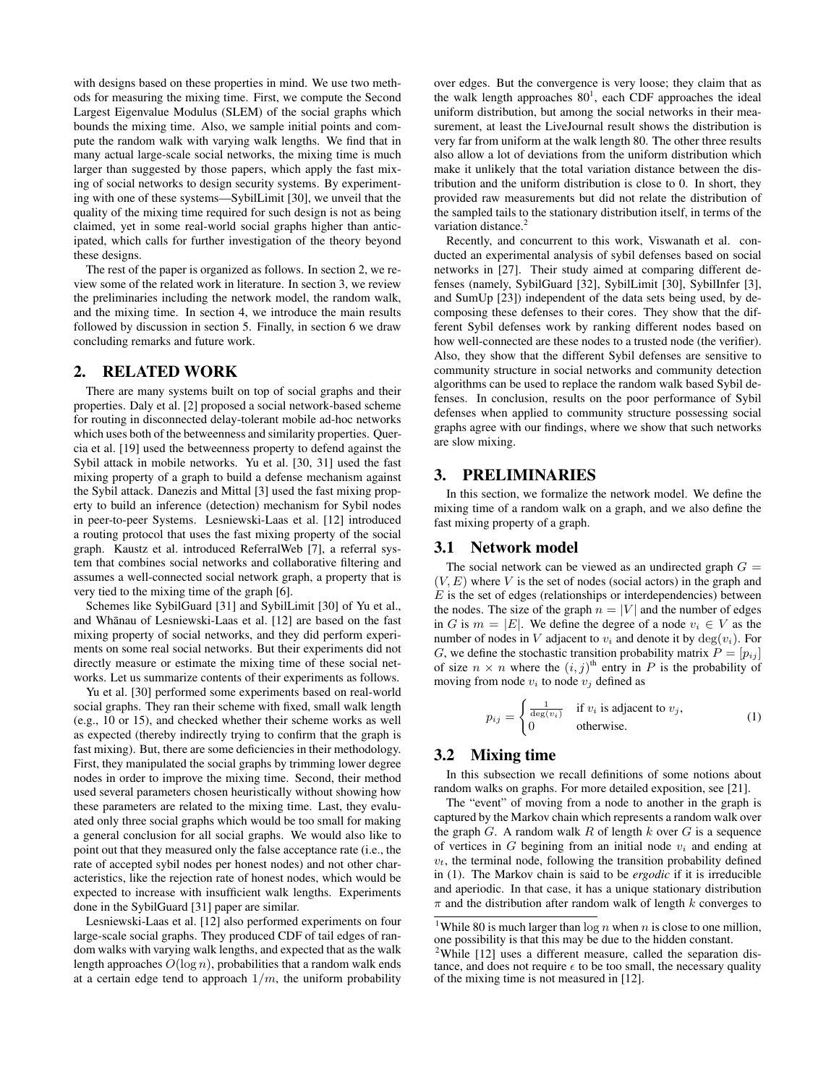with designs based on these properties in mind. We use two methods for measuring the mixing time. First, we compute the Second Largest Eigenvalue Modulus (SLEM) of the social graphs which bounds the mixing time. Also, we sample initial points and compute the random walk with varying walk lengths. We find that in many actual large-scale social networks, the mixing time is much larger than suggested by those papers, which apply the fast mixing of social networks to design security systems. By experimenting with one of these systems—SybilLimit [\[30\]](#page-6-3), we unveil that the quality of the mixing time required for such design is not as being claimed, yet in some real-world social graphs higher than anticipated, which calls for further investigation of the theory beyond these designs.

The rest of the paper is organized as follows. In section [2,](#page-1-0) we review some of the related work in literature. In section [3,](#page-1-1) we review the preliminaries including the network model, the random walk, and the mixing time. In section [4,](#page-2-1) we introduce the main results followed by discussion in section [5.](#page-4-0) Finally, in section [6](#page-5-0) we draw concluding remarks and future work.

#### <span id="page-1-0"></span>2. RELATED WORK

There are many systems built on top of social graphs and their properties. Daly et al. [\[2\]](#page-6-13) proposed a social network-based scheme for routing in disconnected delay-tolerant mobile ad-hoc networks which uses both of the betweenness and similarity properties. Quercia et al. [\[19\]](#page-6-12) used the betweenness property to defend against the Sybil attack in mobile networks. Yu et al. [\[30,](#page-6-3) [31\]](#page-6-1) used the fast mixing property of a graph to build a defense mechanism against the Sybil attack. Danezis and Mittal [\[3\]](#page-6-2) used the fast mixing property to build an inference (detection) mechanism for Sybil nodes in peer-to-peer Systems. Lesniewski-Laas et al. [\[12\]](#page-6-4) introduced a routing protocol that uses the fast mixing property of the social graph. Kaustz et al. introduced ReferralWeb [\[7\]](#page-6-15), a referral system that combines social networks and collaborative filtering and assumes a well-connected social network graph, a property that is very tied to the mixing time of the graph [\[6\]](#page-6-16).

Schemes like SybilGuard [\[31\]](#page-6-1) and SybilLimit [\[30\]](#page-6-3) of Yu et al., and Whanau of Lesniewski-Laas et al. [[12\]](#page-6-4) are based on the fast mixing property of social networks, and they did perform experiments on some real social networks. But their experiments did not directly measure or estimate the mixing time of these social networks. Let us summarize contents of their experiments as follows.

Yu et al. [\[30\]](#page-6-3) performed some experiments based on real-world social graphs. They ran their scheme with fixed, small walk length (e.g., 10 or 15), and checked whether their scheme works as well as expected (thereby indirectly trying to confirm that the graph is fast mixing). But, there are some deficiencies in their methodology. First, they manipulated the social graphs by trimming lower degree nodes in order to improve the mixing time. Second, their method used several parameters chosen heuristically without showing how these parameters are related to the mixing time. Last, they evaluated only three social graphs which would be too small for making a general conclusion for all social graphs. We would also like to point out that they measured only the false acceptance rate (i.e., the rate of accepted sybil nodes per honest nodes) and not other characteristics, like the rejection rate of honest nodes, which would be expected to increase with insufficient walk lengths. Experiments done in the SybilGuard [\[31\]](#page-6-1) paper are similar.

Lesniewski-Laas et al. [\[12\]](#page-6-4) also performed experiments on four large-scale social graphs. They produced CDF of tail edges of random walks with varying walk lengths, and expected that as the walk length approaches  $O(\log n)$ , probabilities that a random walk ends at a certain edge tend to approach  $1/m$ , the uniform probability

over edges. But the convergence is very loose; they claim that as the walk length approaches  $80<sup>1</sup>$  $80<sup>1</sup>$  $80<sup>1</sup>$ , each CDF approaches the ideal uniform distribution, but among the social networks in their measurement, at least the LiveJournal result shows the distribution is very far from uniform at the walk length 80. The other three results also allow a lot of deviations from the uniform distribution which make it unlikely that the total variation distance between the distribution and the uniform distribution is close to 0. In short, they provided raw measurements but did not relate the distribution of the sampled tails to the stationary distribution itself, in terms of the variation distance.<sup>[2](#page-1-3)</sup>

Recently, and concurrent to this work, Viswanath et al. conducted an experimental analysis of sybil defenses based on social networks in [\[27\]](#page-6-17). Their study aimed at comparing different defenses (namely, SybilGuard [\[32\]](#page-6-5), SybilLimit [\[30\]](#page-6-3), SybilInfer [\[3\]](#page-6-2), and SumUp [\[23\]](#page-6-7)) independent of the data sets being used, by decomposing these defenses to their cores. They show that the different Sybil defenses work by ranking different nodes based on how well-connected are these nodes to a trusted node (the verifier). Also, they show that the different Sybil defenses are sensitive to community structure in social networks and community detection algorithms can be used to replace the random walk based Sybil defenses. In conclusion, results on the poor performance of Sybil defenses when applied to community structure possessing social graphs agree with our findings, where we show that such networks are slow mixing.

## <span id="page-1-1"></span>3. PRELIMINARIES

In this section, we formalize the network model. We define the mixing time of a random walk on a graph, and we also define the fast mixing property of a graph.

#### 3.1 Network model

The social network can be viewed as an undirected graph  $G =$  $(V, E)$  where V is the set of nodes (social actors) in the graph and  $E$  is the set of edges (relationships or interdependencies) between the nodes. The size of the graph  $n = |V|$  and the number of edges in G is  $m = |E|$ . We define the degree of a node  $v_i \in V$  as the number of nodes in V adjacent to  $v_i$  and denote it by  $deg(v_i)$ . For G, we define the stochastic transition probability matrix  $P = [p_{ij}]$ of size  $n \times n$  where the  $(i, j)$ <sup>th</sup> entry in P is the probability of moving from node  $v_i$  to node  $v_j$  defined as

<span id="page-1-4"></span>
$$
p_{ij} = \begin{cases} \frac{1}{\deg(v_i)} & \text{if } v_i \text{ is adjacent to } v_j, \\ 0 & \text{otherwise.} \end{cases}
$$
 (1)

## 3.2 Mixing time

In this subsection we recall definitions of some notions about random walks on graphs. For more detailed exposition, see [\[21\]](#page-6-18).

The "event" of moving from a node to another in the graph is captured by the Markov chain which represents a random walk over the graph  $G$ . A random walk  $R$  of length  $k$  over  $G$  is a sequence of vertices in G begining from an initial node  $v_i$  and ending at  $v_t$ , the terminal node, following the transition probability defined in [\(1\)](#page-1-4). The Markov chain is said to be *ergodic* if it is irreducible and aperiodic. In that case, it has a unique stationary distribution  $\pi$  and the distribution after random walk of length  $k$  converges to

<span id="page-1-2"></span><sup>&</sup>lt;sup>1</sup>While 80 is much larger than  $\log n$  when *n* is close to one million, one possibility is that this may be due to the hidden constant.

<span id="page-1-3"></span><sup>&</sup>lt;sup>2</sup>While  $[12]$  uses a different measure, called the separation distance, and does not require  $\epsilon$  to be too small, the necessary quality of the mixing time is not measured in [\[12\]](#page-6-4).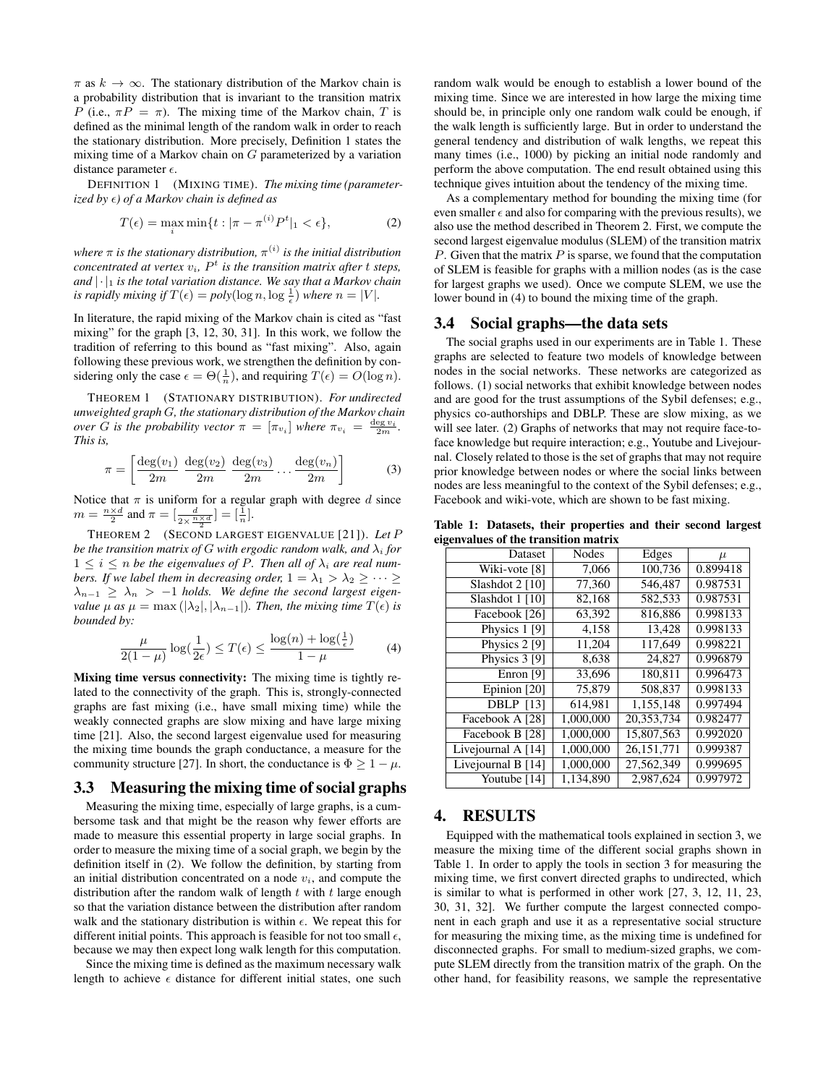$\pi$  as  $k \to \infty$ . The stationary distribution of the Markov chain is a probability distribution that is invariant to the transition matrix P (i.e.,  $\pi P = \pi$ ). The mixing time of the Markov chain, T is defined as the minimal length of the random walk in order to reach the stationary distribution. More precisely, Definition [1](#page-2-2) states the mixing time of a Markov chain on  $G$  parameterized by a variation distance parameter  $\epsilon$ .

DEFINITION 1 (MIXING TIME). *The mixing time (parameterized by ) of a Markov chain is defined as*

<span id="page-2-3"></span><span id="page-2-2"></span>
$$
T(\epsilon) = \max_{i} \min\{t : |\pi - \pi^{(i)}P^t|_1 < \epsilon\},\tag{2}
$$

*where* π *is the stationary distribution,* π (i) *is the initial distribution concentrated at vertex*  $v_i$ ,  $P<sup>t</sup>$  *is the transition matrix after t steps,* and  $|\cdot|_1$  *is the total variation distance. We say that a Markov chain is rapidly mixing if*  $T(\epsilon) = poly(\log n, \log \frac{1}{\epsilon})$  *where*  $n = |V|$ *.* 

In literature, the rapid mixing of the Markov chain is cited as "fast mixing" for the graph [\[3,](#page-6-2) [12,](#page-6-4) [30,](#page-6-3) [31\]](#page-6-1). In this work, we follow the tradition of referring to this bound as "fast mixing". Also, again following these previous work, we strengthen the definition by considering only the case  $\epsilon = \Theta(\frac{1}{n})$ , and requiring  $T(\epsilon) = O(\log n)$ .

THEOREM 1 (STATIONARY DISTRIBUTION). *For undirected unweighted graph* G*, the stationary distribution of the Markov chain over*  $\bar{G}$  *is the probability vector*  $\pi = [\pi_{v_i}]$  *where*  $\pi_{v_i} = \frac{\deg v_i}{2m}$ *. This is,*

<span id="page-2-4"></span>
$$
\pi = \left[\frac{\deg(v_1)}{2m} \frac{\deg(v_2)}{2m} \frac{\deg(v_3)}{2m} \dots \frac{\deg(v_n)}{2m}\right] \tag{3}
$$

Notice that  $\pi$  is uniform for a regular graph with degree d since  $m = \frac{n \times d}{2}$  and  $\pi = \left[\frac{d}{2 \times \frac{n \times d}{2}}\right] = \left[\frac{1}{n}\right]$ .

THEOREM 2 (SECOND LARGEST EIGENVALUE [\[21\]](#page-6-18)). *Let* P *be the transition matrix of G with ergodic random walk, and*  $\lambda_i$  *for*  $1 \leq i \leq n$  be the eigenvalues of P. Then all of  $\lambda_i$  are real num*bers. If we label them in decreasing order,*  $1 = \lambda_1 > \lambda_2 \geq \cdots \geq$  $\lambda_{n-1} \geq \lambda_n > -1$  *holds.* We define the second largest eigen*value*  $\mu$  *as*  $\mu = \max(|\lambda_2|, |\lambda_{n-1}|)$ *. Then, the mixing time*  $T(\epsilon)$  *is bounded by:*

$$
\frac{\mu}{2(1-\mu)}\log(\frac{1}{2\epsilon}) \le T(\epsilon) \le \frac{\log(n) + \log(\frac{1}{\epsilon})}{1-\mu}
$$
 (4)

Mixing time versus connectivity: The mixing time is tightly related to the connectivity of the graph. This is, strongly-connected graphs are fast mixing (i.e., have small mixing time) while the weakly connected graphs are slow mixing and have large mixing time [\[21\]](#page-6-18). Also, the second largest eigenvalue used for measuring the mixing time bounds the graph conductance, a measure for the community structure [\[27\]](#page-6-17). In short, the conductance is  $\Phi \geq 1 - \mu$ .

#### 3.3 Measuring the mixing time of social graphs

Measuring the mixing time, especially of large graphs, is a cumbersome task and that might be the reason why fewer efforts are made to measure this essential property in large social graphs. In order to measure the mixing time of a social graph, we begin by the definition itself in [\(2\)](#page-2-3). We follow the definition, by starting from an initial distribution concentrated on a node  $v_i$ , and compute the distribution after the random walk of length  $t$  with  $t$  large enough so that the variation distance between the distribution after random walk and the stationary distribution is within  $\epsilon$ . We repeat this for different initial points. This approach is feasible for not too small  $\epsilon$ , because we may then expect long walk length for this computation.

Since the mixing time is defined as the maximum necessary walk length to achieve  $\epsilon$  distance for different initial states, one such random walk would be enough to establish a lower bound of the mixing time. Since we are interested in how large the mixing time should be, in principle only one random walk could be enough, if the walk length is sufficiently large. But in order to understand the general tendency and distribution of walk lengths, we repeat this many times (i.e., 1000) by picking an initial node randomly and perform the above computation. The end result obtained using this technique gives intuition about the tendency of the mixing time.

As a complementary method for bounding the mixing time (for even smaller  $\epsilon$  and also for comparing with the previous results), we also use the method described in Theorem [2.](#page-2-4) First, we compute the second largest eigenvalue modulus (SLEM) of the transition matrix P. Given that the matrix  $P$  is sparse, we found that the computation of SLEM is feasible for graphs with a million nodes (as is the case for largest graphs we used). Once we compute SLEM, we use the lower bound in [\(4\)](#page-2-5) to bound the mixing time of the graph.

#### 3.4 Social graphs—the data sets

The social graphs used in our experiments are in Table [1.](#page-2-0) These graphs are selected to feature two models of knowledge between nodes in the social networks. These networks are categorized as follows. (1) social networks that exhibit knowledge between nodes and are good for the trust assumptions of the Sybil defenses; e.g., physics co-authorships and DBLP. These are slow mixing, as we will see later. (2) Graphs of networks that may not require face-toface knowledge but require interaction; e.g., Youtube and Livejournal. Closely related to those is the set of graphs that may not require prior knowledge between nodes or where the social links between nodes are less meaningful to the context of the Sybil defenses; e.g., Facebook and wiki-vote, which are shown to be fast mixing.

Table 1: Datasets, their properties and their second largest eigenvalues of the transition matrix

<span id="page-2-5"></span><span id="page-2-0"></span>

| Dataset            | Nodes     | Edges      | $\mu$    |
|--------------------|-----------|------------|----------|
| Wiki-vote [8]      | 7,066     | 100,736    | 0.899418 |
| Slashdot 2 [10]    | 77,360    | 546,487    | 0.987531 |
| Slashdot 1 [10]    | 82,168    | 582,533    | 0.987531 |
| Facebook [26]      | 63,392    | 816.886    | 0.998133 |
| Physics 1 [9]      | 4,158     | 13,428     | 0.998133 |
| Physics $2[9]$     | 11,204    | 117,649    | 0.998221 |
| Physics 3 [9]      | 8,638     | 24,827     | 0.996879 |
| Enron [9]          | 33,696    | 180,811    | 0.996473 |
| $Epinion$ [20]     | 75,879    | 508,837    | 0.998133 |
| <b>DBLP</b> [13]   | 614,981   | 1,155,148  | 0.997494 |
| Facebook A [28]    | 1,000,000 | 20,353,734 | 0.982477 |
| Facebook B [28]    | 1,000,000 | 15,807,563 | 0.992020 |
| Livejournal A [14] | 1,000,000 | 26.151.771 | 0.999387 |
| Livejournal B [14] | 1,000,000 | 27,562,349 | 0.999695 |
| Youtube [14]       | 1.134.890 | 2.987.624  | 0.997972 |

#### <span id="page-2-1"></span>4. RESULTS

Equipped with the mathematical tools explained in section [3,](#page-1-1) we measure the mixing time of the different social graphs shown in Table [1.](#page-2-0) In order to apply the tools in section [3](#page-1-1) for measuring the mixing time, we first convert directed graphs to undirected, which is similar to what is performed in other work [\[27,](#page-6-17) [3,](#page-6-2) [12,](#page-6-4) [11,](#page-6-6) [23,](#page-6-7) [30,](#page-6-3) [31,](#page-6-1) [32\]](#page-6-5). We further compute the largest connected component in each graph and use it as a representative social structure for measuring the mixing time, as the mixing time is undefined for disconnected graphs. For small to medium-sized graphs, we compute SLEM directly from the transition matrix of the graph. On the other hand, for feasibility reasons, we sample the representative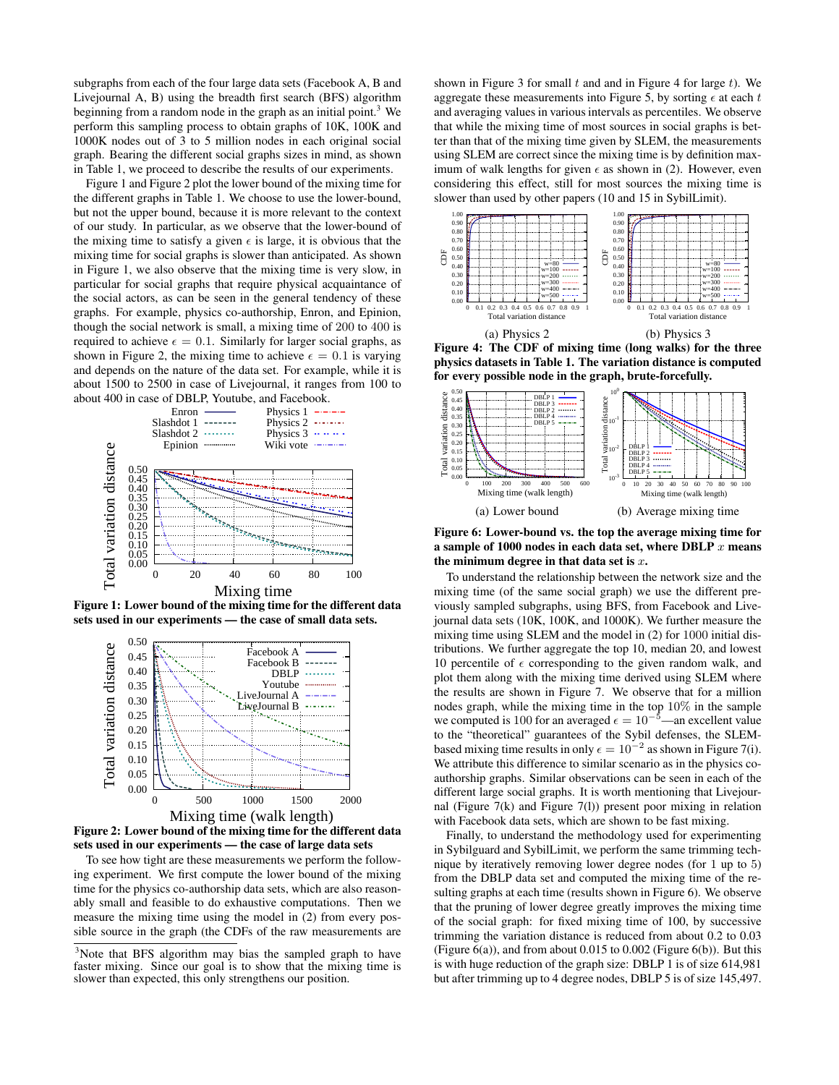subgraphs from each of the four large data sets (Facebook A, B and Livejournal A, B) using the breadth first search (BFS) algorithm beginning from a random node in the graph as an initial point.<sup>[3](#page-3-0)</sup> We perform this sampling process to obtain graphs of 10K, 100K and 1000K nodes out of 3 to 5 million nodes in each original social graph. Bearing the different social graphs sizes in mind, as shown in Table [1,](#page-2-0) we proceed to describe the results of our experiments.

Figure [1](#page-3-1) and Figure [2](#page-3-2) plot the lower bound of the mixing time for the different graphs in Table [1.](#page-2-0) We choose to use the lower-bound, but not the upper bound, because it is more relevant to the context of our study. In particular, as we observe that the lower-bound of the mixing time to satisfy a given  $\epsilon$  is large, it is obvious that the mixing time for social graphs is slower than anticipated. As shown in Figure [1,](#page-3-1) we also observe that the mixing time is very slow, in particular for social graphs that require physical acquaintance of the social actors, as can be seen in the general tendency of these graphs. For example, physics co-authorship, Enron, and Epinion, though the social network is small, a mixing time of 200 to 400 is required to achieve  $\epsilon = 0.1$ . Similarly for larger social graphs, as shown in Figure [2,](#page-3-2) the mixing time to achieve  $\epsilon = 0.1$  is varying and depends on the nature of the data set. For example, while it is about 1500 to 2500 in case of Livejournal, it ranges from 100 to about 400 in case of DBLP, Youtube, and Facebook.



Figure 1: Lower bound of the mixing time for the different data sets used in our experiments — the case of small data sets.

<span id="page-3-1"></span>

<span id="page-3-2"></span>Figure 2: Lower bound of the mixing time for the different data sets used in our experiments — the case of large data sets

To see how tight are these measurements we perform the following experiment. We first compute the lower bound of the mixing time for the physics co-authorship data sets, which are also reasonably small and feasible to do exhaustive computations. Then we measure the mixing time using the model in [\(2\)](#page-2-3) from every possible source in the graph (the CDFs of the raw measurements are shown in Figure [3](#page-4-1) for small  $t$  and and in Figure [4](#page-3-3) for large  $t$ ). We aggregate these measurements into Figure [5,](#page-4-2) by sorting  $\epsilon$  at each t and averaging values in various intervals as percentiles. We observe that while the mixing time of most sources in social graphs is better than that of the mixing time given by SLEM, the measurements using SLEM are correct since the mixing time is by definition maximum of walk lengths for given  $\epsilon$  as shown in [\(2\)](#page-2-3). However, even considering this effect, still for most sources the mixing time is slower than used by other papers (10 and 15 in SybilLimit).



<span id="page-3-3"></span>Figure 4: The CDF of mixing time (long walks) for the three physics datasets in Table [1.](#page-2-0) The variation distance is computed for every possible node in the graph, brute-forcefully.

<span id="page-3-5"></span>

<span id="page-3-6"></span><span id="page-3-4"></span>Figure 6: Lower-bound vs. the top the average mixing time for a sample of  $1000$  nodes in each data set, where DBLP  $x$  means the minimum degree in that data set is  $x$ .

To understand the relationship between the network size and the mixing time (of the same social graph) we use the different previously sampled subgraphs, using BFS, from Facebook and Livejournal data sets (10K, 100K, and 1000K). We further measure the mixing time using SLEM and the model in [\(2\)](#page-2-3) for 1000 initial distributions. We further aggregate the top 10, median 20, and lowest 10 percentile of  $\epsilon$  corresponding to the given random walk, and plot them along with the mixing time derived using SLEM where the results are shown in Figure [7.](#page-5-1) We observe that for a million nodes graph, while the mixing time in the top 10% in the sample we computed is 100 for an averaged  $\epsilon = 10^{-5}$ —an excellent value to the "theoretical" guarantees of the Sybil defenses, the SLEMbased mixing time results in only  $\epsilon = 10^{-2}$  as shown in Figure [7\(i\).](#page-5-2) We attribute this difference to similar scenario as in the physics coauthorship graphs. Similar observations can be seen in each of the different large social graphs. It is worth mentioning that Livejournal (Figure [7\(k\)](#page-5-3) and Figure [7\(l\)\)](#page-5-4) present poor mixing in relation with Facebook data sets, which are shown to be fast mixing.

Finally, to understand the methodology used for experimenting in Sybilguard and SybilLimit, we perform the same trimming technique by iteratively removing lower degree nodes (for 1 up to 5) from the DBLP data set and computed the mixing time of the resulting graphs at each time (results shown in Figure [6\)](#page-3-4). We observe that the pruning of lower degree greatly improves the mixing time of the social graph: for fixed mixing time of 100, by successive trimming the variation distance is reduced from about 0.2 to 0.03 (Figure  $6(a)$ ), and from about 0.015 to 0.002 (Figure  $6(b)$ ). But this is with huge reduction of the graph size: DBLP 1 is of size 614,981 but after trimming up to 4 degree nodes, DBLP 5 is of size 145,497.

<span id="page-3-0"></span><sup>&</sup>lt;sup>3</sup>Note that BFS algorithm may bias the sampled graph to have faster mixing. Since our goal is to show that the mixing time is slower than expected, this only strengthens our position.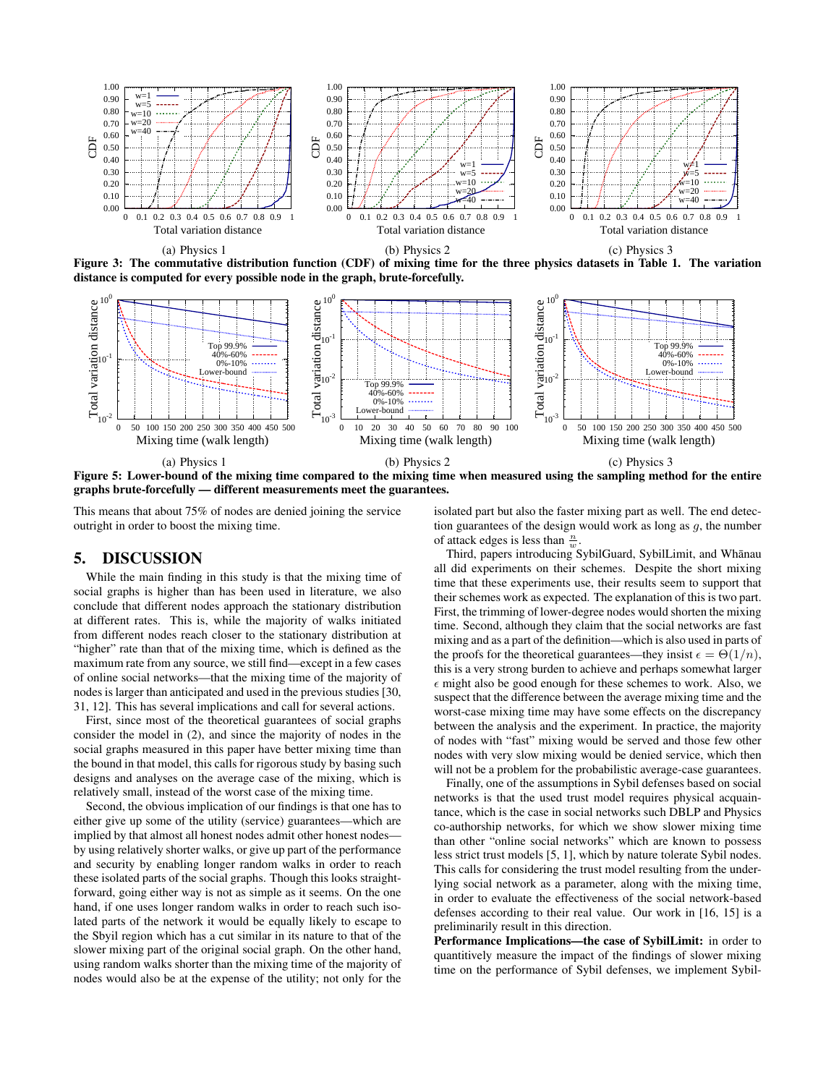

<span id="page-4-1"></span>Figure 3: The commutative distribution function (CDF) of mixing time for the three physics datasets in Table [1.](#page-2-0) The variation distance is computed for every possible node in the graph, brute-forcefully.



<span id="page-4-2"></span>Figure 5: Lower-bound of the mixing time compared to the mixing time when measured using the sampling method for the entire graphs brute-forcefully — different measurements meet the guarantees.

This means that about 75% of nodes are denied joining the service outright in order to boost the mixing time.

## <span id="page-4-0"></span>5. DISCUSSION

While the main finding in this study is that the mixing time of social graphs is higher than has been used in literature, we also conclude that different nodes approach the stationary distribution at different rates. This is, while the majority of walks initiated from different nodes reach closer to the stationary distribution at "higher" rate than that of the mixing time, which is defined as the maximum rate from any source, we still find—except in a few cases of online social networks—that the mixing time of the majority of nodes is larger than anticipated and used in the previous studies [\[30,](#page-6-3) [31,](#page-6-1) [12\]](#page-6-4). This has several implications and call for several actions.

First, since most of the theoretical guarantees of social graphs consider the model in [\(2\)](#page-2-3), and since the majority of nodes in the social graphs measured in this paper have better mixing time than the bound in that model, this calls for rigorous study by basing such designs and analyses on the average case of the mixing, which is relatively small, instead of the worst case of the mixing time.

Second, the obvious implication of our findings is that one has to either give up some of the utility (service) guarantees—which are implied by that almost all honest nodes admit other honest nodes by using relatively shorter walks, or give up part of the performance and security by enabling longer random walks in order to reach these isolated parts of the social graphs. Though this looks straightforward, going either way is not as simple as it seems. On the one hand, if one uses longer random walks in order to reach such isolated parts of the network it would be equally likely to escape to the Sbyil region which has a cut similar in its nature to that of the slower mixing part of the original social graph. On the other hand, using random walks shorter than the mixing time of the majority of nodes would also be at the expense of the utility; not only for the

isolated part but also the faster mixing part as well. The end detection guarantees of the design would work as long as  $q$ , the number of attack edges is less than  $\frac{n}{w}$ .

Third, papers introducing SybilGuard, SybilLimit, and Whanau all did experiments on their schemes. Despite the short mixing time that these experiments use, their results seem to support that their schemes work as expected. The explanation of this is two part. First, the trimming of lower-degree nodes would shorten the mixing time. Second, although they claim that the social networks are fast mixing and as a part of the definition—which is also used in parts of the proofs for the theoretical guarantees—they insist  $\epsilon = \Theta(1/n)$ , this is a very strong burden to achieve and perhaps somewhat larger  $\epsilon$  might also be good enough for these schemes to work. Also, we suspect that the difference between the average mixing time and the worst-case mixing time may have some effects on the discrepancy between the analysis and the experiment. In practice, the majority of nodes with "fast" mixing would be served and those few other nodes with very slow mixing would be denied service, which then will not be a problem for the probabilistic average-case guarantees.

Finally, one of the assumptions in Sybil defenses based on social networks is that the used trust model requires physical acquaintance, which is the case in social networks such DBLP and Physics co-authorship networks, for which we show slower mixing time than other "online social networks" which are known to possess less strict trust models [\[5,](#page-6-27) [1\]](#page-6-28), which by nature tolerate Sybil nodes. This calls for considering the trust model resulting from the underlying social network as a parameter, along with the mixing time, in order to evaluate the effectiveness of the social network-based defenses according to their real value. Our work in [\[16,](#page-6-29) [15\]](#page-6-30) is a preliminarily result in this direction.

Performance Implications—the case of SybilLimit: in order to quantitively measure the impact of the findings of slower mixing time on the performance of Sybil defenses, we implement Sybil-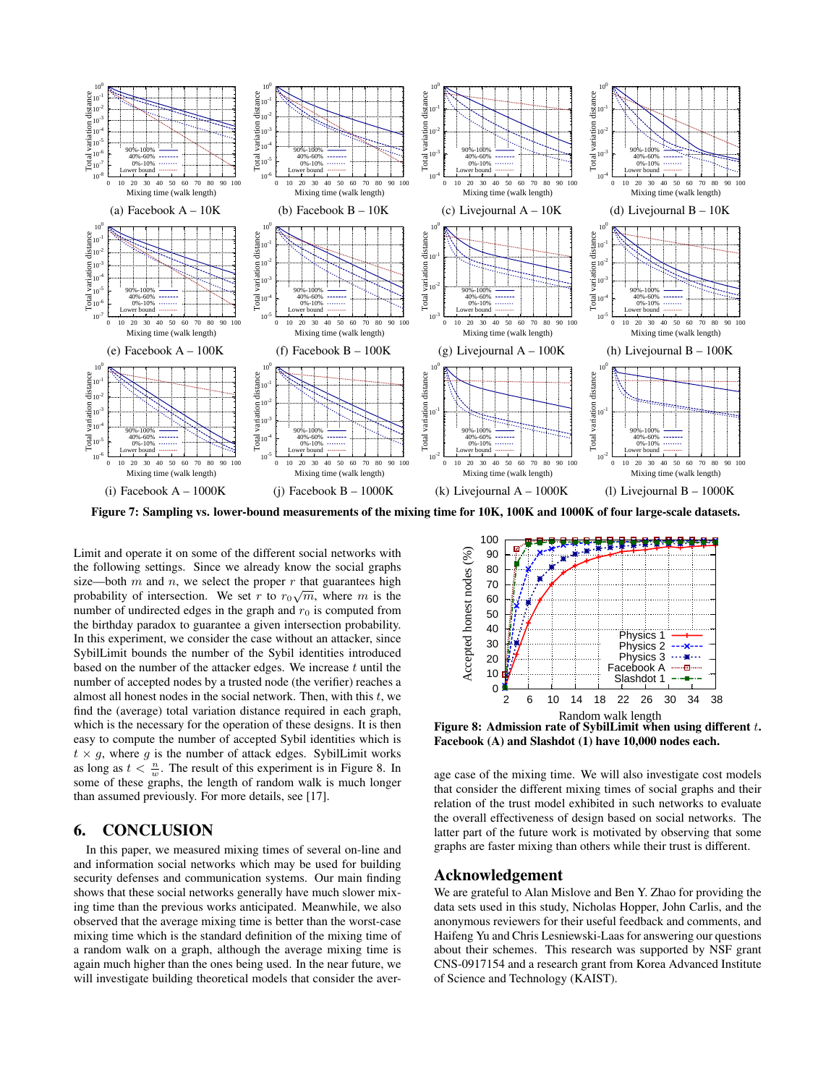

<span id="page-5-2"></span><span id="page-5-1"></span>Figure 7: Sampling vs. lower-bound measurements of the mixing time for 10K, 100K and 1000K of four large-scale datasets.

Limit and operate it on some of the different social networks with the following settings. Since we already know the social graphs size—both m and n, we select the proper r that guarantees high probability of intersection. We set r to  $r_0\sqrt{m}$ , where m is the number of undirected edges in the graph and  $r_0$  is computed from the birthday paradox to guarantee a given intersection probability. In this experiment, we consider the case without an attacker, since SybilLimit bounds the number of the Sybil identities introduced based on the number of the attacker edges. We increase  $t$  until the number of accepted nodes by a trusted node (the verifier) reaches a almost all honest nodes in the social network. Then, with this  $t$ , we find the (average) total variation distance required in each graph, which is the necessary for the operation of these designs. It is then easy to compute the number of accepted Sybil identities which is  $t \times g$ , where g is the number of attack edges. SybilLimit works as long as  $t < \frac{n}{w}$ . The result of this experiment is in Figure [8.](#page-5-5) In some of these graphs, the length of random walk is much longer than assumed previously. For more details, see [\[17\]](#page-6-31).

#### <span id="page-5-0"></span>6. CONCLUSION

In this paper, we measured mixing times of several on-line and and information social networks which may be used for building security defenses and communication systems. Our main finding shows that these social networks generally have much slower mixing time than the previous works anticipated. Meanwhile, we also observed that the average mixing time is better than the worst-case mixing time which is the standard definition of the mixing time of a random walk on a graph, although the average mixing time is again much higher than the ones being used. In the near future, we will investigate building theoretical models that consider the aver-

<span id="page-5-4"></span><span id="page-5-3"></span>

<span id="page-5-5"></span>Figure 8: Admission rate of SybilLimit when using different t. Facebook (A) and Slashdot (1) have 10,000 nodes each.

age case of the mixing time. We will also investigate cost models that consider the different mixing times of social graphs and their relation of the trust model exhibited in such networks to evaluate the overall effectiveness of design based on social networks. The latter part of the future work is motivated by observing that some graphs are faster mixing than others while their trust is different.

#### Acknowledgement

We are grateful to Alan Mislove and Ben Y. Zhao for providing the data sets used in this study, Nicholas Hopper, John Carlis, and the anonymous reviewers for their useful feedback and comments, and Haifeng Yu and Chris Lesniewski-Laas for answering our questions about their schemes. This research was supported by NSF grant CNS-0917154 and a research grant from Korea Advanced Institute of Science and Technology (KAIST).